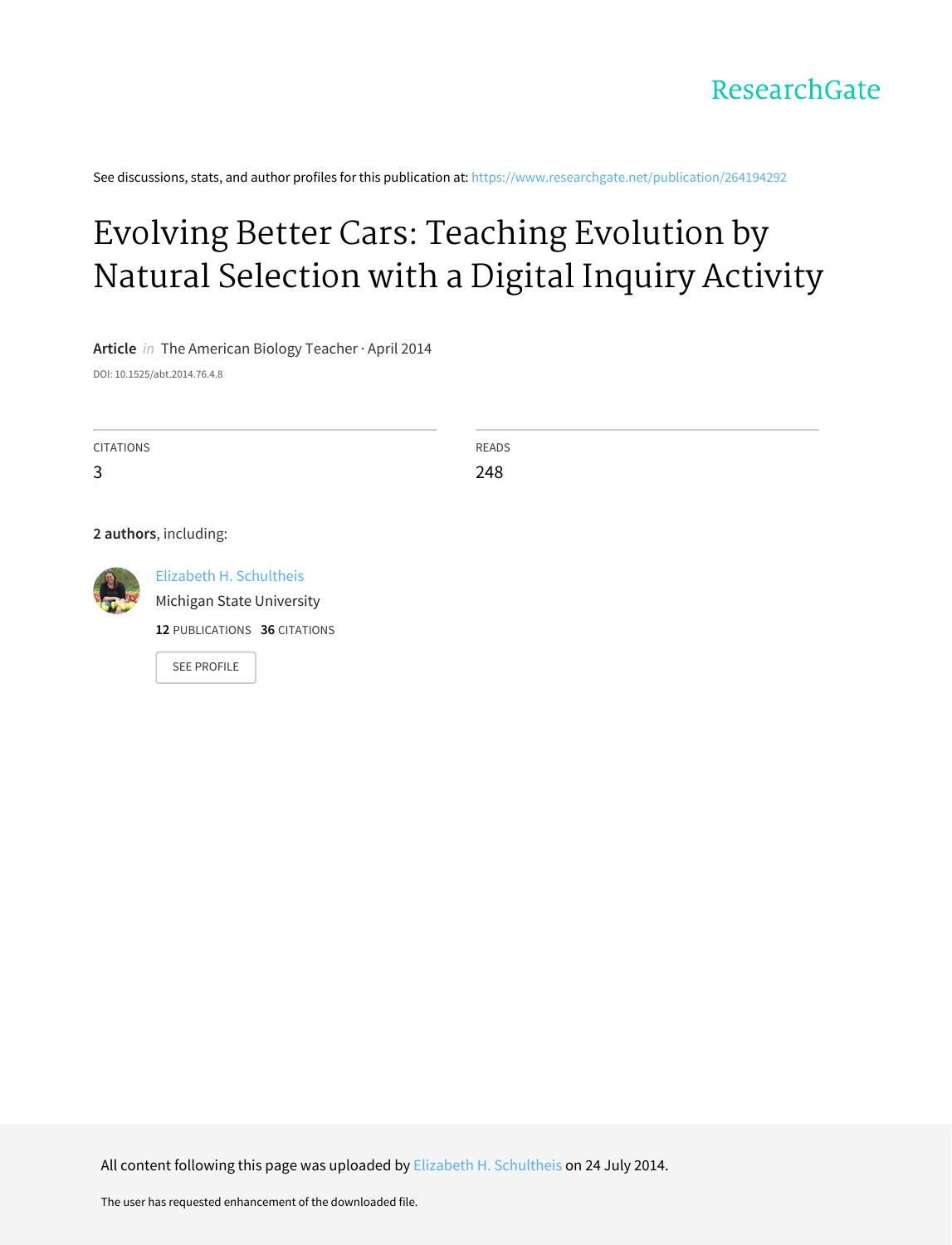See discussions, stats, and author profiles for this publication at: [https://www.researchgate.net/publication/264194292](https://www.researchgate.net/publication/264194292_Evolving_Better_Cars_Teaching_Evolution_by_Natural_Selection_with_a_Digital_Inquiry_Activity?enrichId=rgreq-3dc5293c7994e08ec9cfb0cbc277d2a2-XXX&enrichSource=Y292ZXJQYWdlOzI2NDE5NDI5MjtBUzoxMjI1MTQyNzM0NzY2MDhAMTQwNjIyMTA4NzM2Mg%3D%3D&el=1_x_2&_esc=publicationCoverPdf)

# Evolving Better Cars: Teaching [Evolution](https://www.researchgate.net/publication/264194292_Evolving_Better_Cars_Teaching_Evolution_by_Natural_Selection_with_a_Digital_Inquiry_Activity?enrichId=rgreq-3dc5293c7994e08ec9cfb0cbc277d2a2-XXX&enrichSource=Y292ZXJQYWdlOzI2NDE5NDI5MjtBUzoxMjI1MTQyNzM0NzY2MDhAMTQwNjIyMTA4NzM2Mg%3D%3D&el=1_x_3&_esc=publicationCoverPdf) by Natural Selection with a Digital Inquiry Activity

**Article** in The American Biology Teacher · April 2014 DOI: 10.1525/abt.2014.76.4.8

| <b>CITATIONS</b> | <b>READS</b> |
|------------------|--------------|
| 3                | 248          |

**2 authors**, including:



Elizabeth H. [Schultheis](https://www.researchgate.net/profile/Elizabeth_Schultheis?enrichId=rgreq-3dc5293c7994e08ec9cfb0cbc277d2a2-XXX&enrichSource=Y292ZXJQYWdlOzI2NDE5NDI5MjtBUzoxMjI1MTQyNzM0NzY2MDhAMTQwNjIyMTA4NzM2Mg%3D%3D&el=1_x_5&_esc=publicationCoverPdf) Michigan State [University](https://www.researchgate.net/institution/Michigan_State_University?enrichId=rgreq-3dc5293c7994e08ec9cfb0cbc277d2a2-XXX&enrichSource=Y292ZXJQYWdlOzI2NDE5NDI5MjtBUzoxMjI1MTQyNzM0NzY2MDhAMTQwNjIyMTA4NzM2Mg%3D%3D&el=1_x_6&_esc=publicationCoverPdf) **12** PUBLICATIONS **36** CITATIONS

SEE [PROFILE](https://www.researchgate.net/profile/Elizabeth_Schultheis?enrichId=rgreq-3dc5293c7994e08ec9cfb0cbc277d2a2-XXX&enrichSource=Y292ZXJQYWdlOzI2NDE5NDI5MjtBUzoxMjI1MTQyNzM0NzY2MDhAMTQwNjIyMTA4NzM2Mg%3D%3D&el=1_x_7&_esc=publicationCoverPdf)

All content following this page was uploaded by Elizabeth H. [Schultheis](https://www.researchgate.net/profile/Elizabeth_Schultheis?enrichId=rgreq-3dc5293c7994e08ec9cfb0cbc277d2a2-XXX&enrichSource=Y292ZXJQYWdlOzI2NDE5NDI5MjtBUzoxMjI1MTQyNzM0NzY2MDhAMTQwNjIyMTA4NzM2Mg%3D%3D&el=1_x_10&_esc=publicationCoverPdf) on 24 July 2014.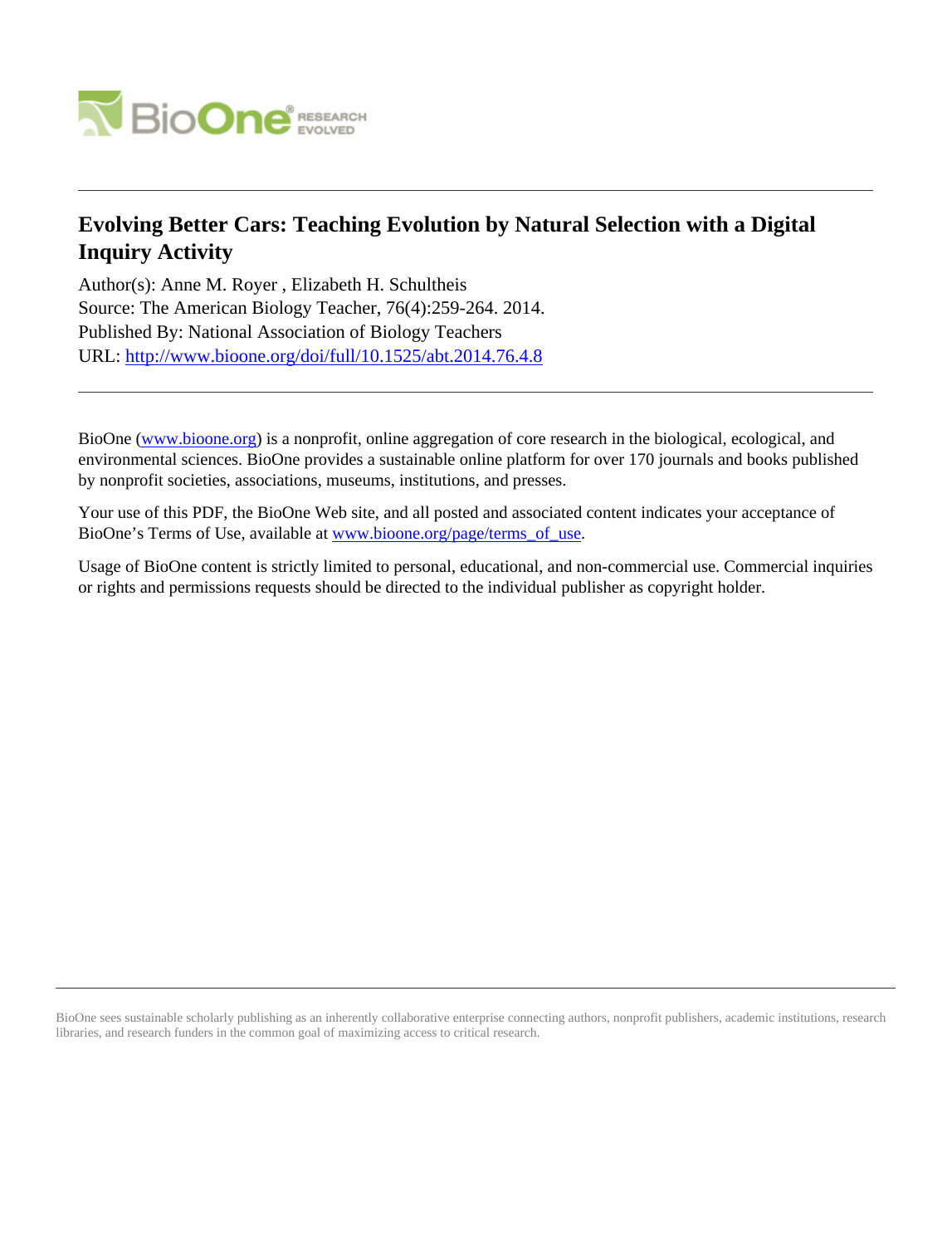

# **Evolving Better Cars: Teaching Evolution by Natural Selection with a Digital Inquiry Activity**

Author(s): Anne M. Royer , Elizabeth H. Schultheis Source: The American Biology Teacher, 76(4):259-264. 2014. Published By: National Association of Biology Teachers URL: <http://www.bioone.org/doi/full/10.1525/abt.2014.76.4.8>

BioOne [\(www.bioone.org\)](http://www.bioone.org) is a nonprofit, online aggregation of core research in the biological, ecological, and environmental sciences. BioOne provides a sustainable online platform for over 170 journals and books published by nonprofit societies, associations, museums, institutions, and presses.

Your use of this PDF, the BioOne Web site, and all posted and associated content indicates your acceptance of BioOne's Terms of Use, available at [www.bioone.org/page/terms\\_of\\_use.](http://www.bioone.org/page/terms_of_use)

Usage of BioOne content is strictly limited to personal, educational, and non-commercial use. Commercial inquiries or rights and permissions requests should be directed to the individual publisher as copyright holder.

BioOne sees sustainable scholarly publishing as an inherently collaborative enterprise connecting authors, nonprofit publishers, academic institutions, research libraries, and research funders in the common goal of maximizing access to critical research.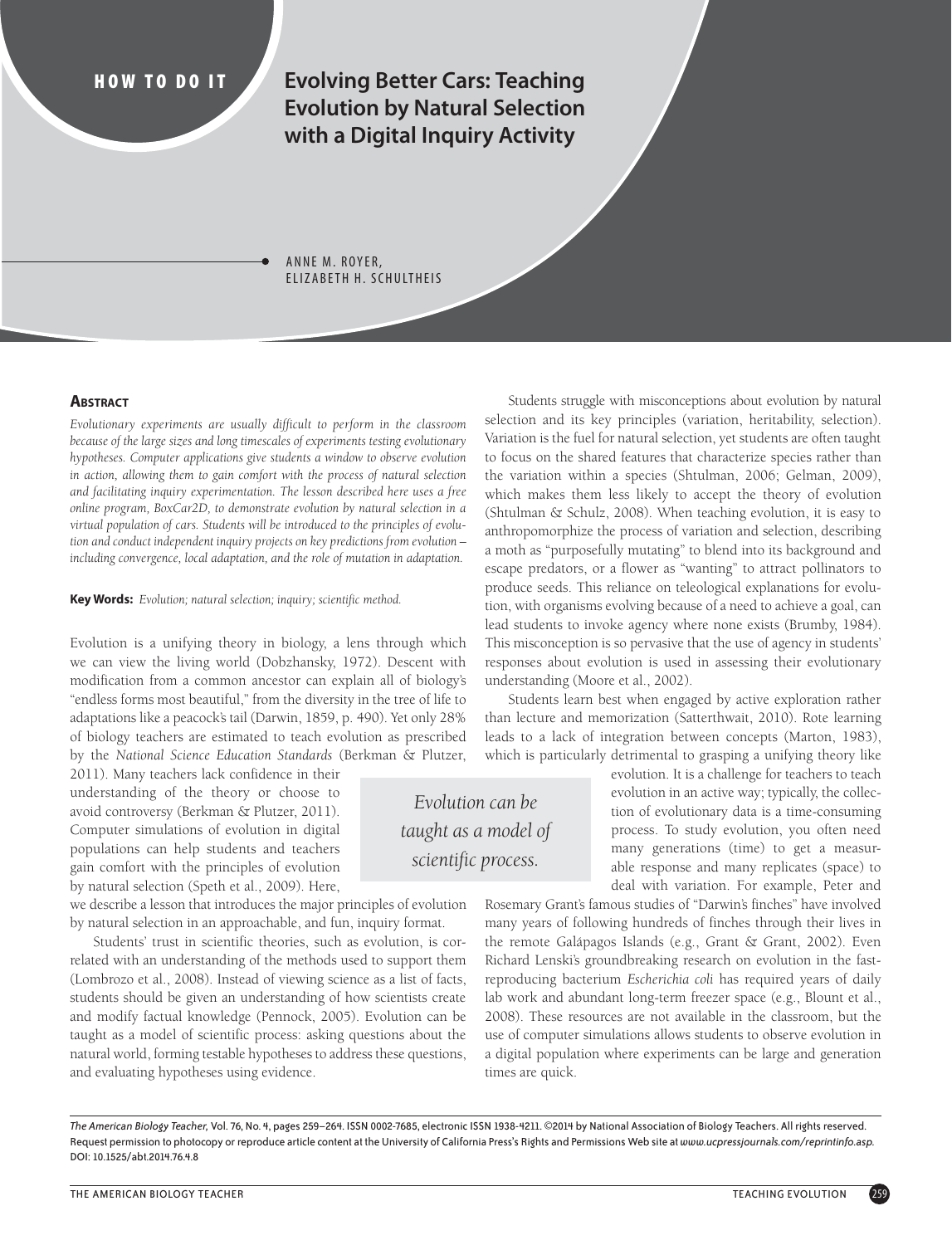**HOW TO DO IT Evolving Better Cars: Teaching Evolution by Natural Selection with a Digital Inquiry Activity** 

> ANNE M. ROYER, ELIZABETH H. SCHULTHEIS

#### **ABSTRACT**

*Evolutionary experiments are usually difficult to perform in the classroom because of the large sizes and long timescales of experiments testing evolutionary hypotheses. Computer applications give students a window to observe evolution*  in action, allowing them to gain comfort with the process of natural selection *and facilitating inquiry experimentation. The lesson described here uses a free online program, BoxCar2D, to demonstrate evolution by natural selection in a virtual population of cars. Students will be introduced to the principles of evolution and conduct independent inquiry projects on key predictions from evolution – including convergence, local adaptation, and the role of mutation in adaptation.*

**Key Words:** *Evolution; natural selection; inquiry; scientific method.*

Evolution is a unifying theory in biology, a lens through which we can view the living world (Dobzhansky, 1972). Descent with modification from a common ancestor can explain all of biology's "endless forms most beautiful," from the diversity in the tree of life to adaptations like a peacock's tail (Darwin, 1859, p. 490). Yet only 28% of biology teachers are estimated to teach evolution as prescribed by the *National Science Education Standards* (Berkman & Plutzer,

2011). Many teachers lack confidence in their understanding of the theory or choose to avoid controversy (Berkman & Plutzer, 2011). Computer simulations of evolution in digital populations can help students and teachers gain comfort with the principles of evolution by natural selection (Speth et al., 2009). Here,

we describe a lesson that introduces the major principles of evolution by natural selection in an approachable, and fun, inquiry format.

Students' trust in scientific theories, such as evolution, is correlated with an understanding of the methods used to support them (Lombrozo et al., 2008). Instead of viewing science as a list of facts, students should be given an understanding of how scientists create and modify factual knowledge (Pennock, 2005). Evolution can be taught as a model of scientific process: asking questions about the natural world, forming testable hypotheses to address these questions, and evaluating hypotheses using evidence.

Students struggle with misconceptions about evolution by natural selection and its key principles (variation, heritability, selection). Variation is the fuel for natural selection, yet students are often taught to focus on the shared features that characterize species rather than the variation within a species (Shtulman, 2006; Gelman, 2009), which makes them less likely to accept the theory of evolution (Shtulman & Schulz, 2008). When teaching evolution, it is easy to anthropomorphize the process of variation and selection, describing a moth as "purposefully mutating" to blend into its background and escape predators, or a flower as "wanting" to attract pollinators to produce seeds. This reliance on teleological explanations for evolution, with organisms evolving because of a need to achieve a goal, can lead students to invoke agency where none exists (Brumby, 1984). This misconception is so pervasive that the use of agency in students' responses about evolution is used in assessing their evolutionary understanding (Moore et al., 2002).

Students learn best when engaged by active exploration rather than lecture and memorization (Satterthwait, 2010). Rote learning leads to a lack of integration between concepts (Marton, 1983), which is particularly detrimental to grasping a unifying theory like

> evolution. It is a challenge for teachers to teach evolution in an active way; typically, the collection of evolutionary data is a time-consuming process. To study evolution, you often need many generations (time) to get a measurable response and many replicates (space) to deal with variation. For example, Peter and

Rosemary Grant's famous studies of "Darwin's finches" have involved many years of following hundreds of finches through their lives in the remote Galápagos Islands (e.g., Grant & Grant, 2002). Even Richard Lenski's groundbreaking research on evolution in the fastreproducing bacterium *Escherichia coli* has required years of daily lab work and abundant long-term freezer space (e.g., Blount et al., 2008). These resources are not available in the classroom, but the use of computer simulations allows students to observe evolution in a digital population where experiments can be large and generation times are quick.

*The American Biology Teacher,* Vol. 76, No. 4, pages 259–264. ISSN 0002-7685, electronic ISSN 1938-4211. ©2014 by National Association of Biology Teachers. All rights reserved. Request permission to photocopy or reproduce article content at the University of California Press's Rights and Permissions Web site at *www.ucpressjournals.com/reprintinfo.asp.* DOI: 10.1525/abt.2014.76.4.8

*Evolution can be taught as a model of scientific process.*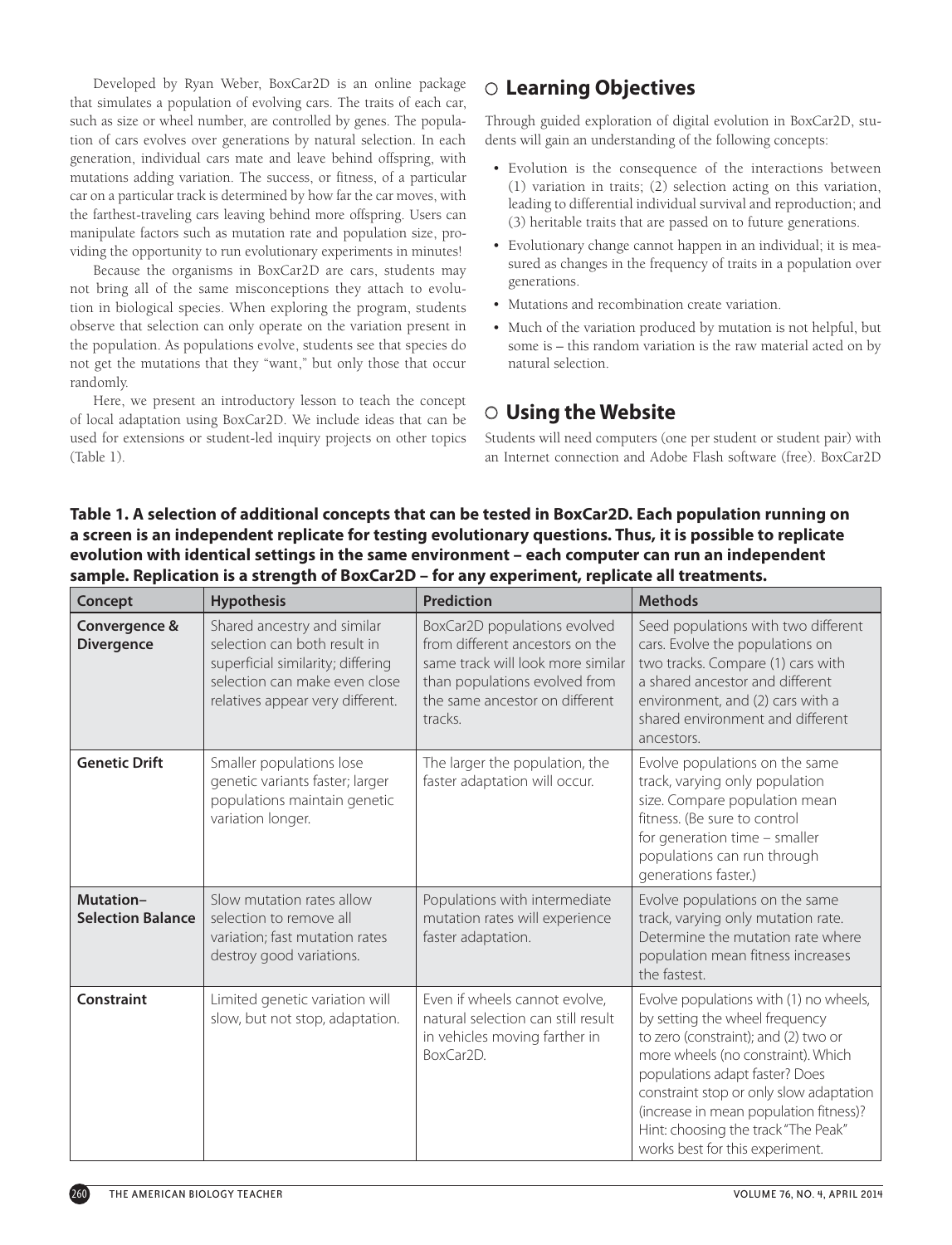Developed by Ryan Weber, BoxCar2D is an online package that simulates a population of evolving cars. The traits of each car, such as size or wheel number, are controlled by genes. The population of cars evolves over generations by natural selection. In each generation, individual cars mate and leave behind offspring, with mutations adding variation. The success, or fitness, of a particular car on a particular track is determined by how far the car moves, with the farthest-traveling cars leaving behind more offspring. Users can manipulate factors such as mutation rate and population size, providing the opportunity to run evolutionary experiments in minutes!

Because the organisms in BoxCar2D are cars, students may not bring all of the same misconceptions they attach to evolution in biological species. When exploring the program, students observe that selection can only operate on the variation present in the population. As populations evolve, students see that species do not get the mutations that they "want," but only those that occur randomly.

Here, we present an introductory lesson to teach the concept of local adaptation using BoxCar2D. We include ideas that can be used for extensions or student-led inquiry projects on other topics (Table 1).

# J **Learning Objectives**

Through guided exploration of digital evolution in BoxCar2D, students will gain an understanding of the following concepts:

- Evolution is the consequence of the interactions between (1) variation in traits; (2) selection acting on this variation, leading to differential individual survival and reproduction; and (3) heritable traits that are passed on to future generations.
- Evolutionary change cannot happen in an individual; it is measured as changes in the frequency of traits in a population over generations.
- Mutations and recombination create variation.
- Much of the variation produced by mutation is not helpful, but some is – this random variation is the raw material acted on by natural selection.

# O Using the Website

Students will need computers (one per student or student pair) with an Internet connection and Adobe Flash software (free). BoxCar2D

### **Table 1. A selection of additional concepts that can be tested in BoxCar2D. Each population running on a screen is an independent replicate for testing evolutionary questions. Thus, it is possible to replicate evolution with identical settings in the same environment – each computer can run an independent sample. Replication is a strength of BoxCar2D – for any experiment, replicate all treatments.**

| Concept                               | <b>Hypothesis</b>                                                                                                                                                     | Prediction                                                                                                                                                                         | <b>Methods</b>                                                                                                                                                                                                                                                                                                                                          |
|---------------------------------------|-----------------------------------------------------------------------------------------------------------------------------------------------------------------------|------------------------------------------------------------------------------------------------------------------------------------------------------------------------------------|---------------------------------------------------------------------------------------------------------------------------------------------------------------------------------------------------------------------------------------------------------------------------------------------------------------------------------------------------------|
| Convergence &<br><b>Divergence</b>    | Shared ancestry and similar<br>selection can both result in<br>superficial similarity; differing<br>selection can make even close<br>relatives appear very different. | BoxCar2D populations evolved<br>from different ancestors on the<br>same track will look more similar<br>than populations evolved from<br>the same ancestor on different<br>tracks. | Seed populations with two different<br>cars. Evolve the populations on<br>two tracks. Compare (1) cars with<br>a shared ancestor and different<br>environment, and (2) cars with a<br>shared environment and different<br>ancestors.                                                                                                                    |
| <b>Genetic Drift</b>                  | Smaller populations lose<br>genetic variants faster; larger<br>populations maintain genetic<br>variation longer.                                                      | The larger the population, the<br>faster adaptation will occur.                                                                                                                    | Evolve populations on the same<br>track, varying only population<br>size. Compare population mean<br>fitness. (Be sure to control<br>for generation time - smaller<br>populations can run through<br>generations faster.)                                                                                                                               |
| Mutation-<br><b>Selection Balance</b> | Slow mutation rates allow<br>selection to remove all<br>variation; fast mutation rates<br>destroy good variations.                                                    | Populations with intermediate<br>mutation rates will experience<br>faster adaptation.                                                                                              | Evolve populations on the same<br>track, varying only mutation rate.<br>Determine the mutation rate where<br>population mean fitness increases<br>the fastest.                                                                                                                                                                                          |
| <b>Constraint</b>                     | Limited genetic variation will<br>slow, but not stop, adaptation.                                                                                                     | Even if wheels cannot evolve,<br>natural selection can still result<br>in vehicles moving farther in<br>BoxCar2D.                                                                  | Evolve populations with (1) no wheels,<br>by setting the wheel frequency<br>to zero (constraint); and (2) two or<br>more wheels (no constraint). Which<br>populations adapt faster? Does<br>constraint stop or only slow adaptation<br>(increase in mean population fitness)?<br>Hint: choosing the track "The Peak"<br>works best for this experiment. |



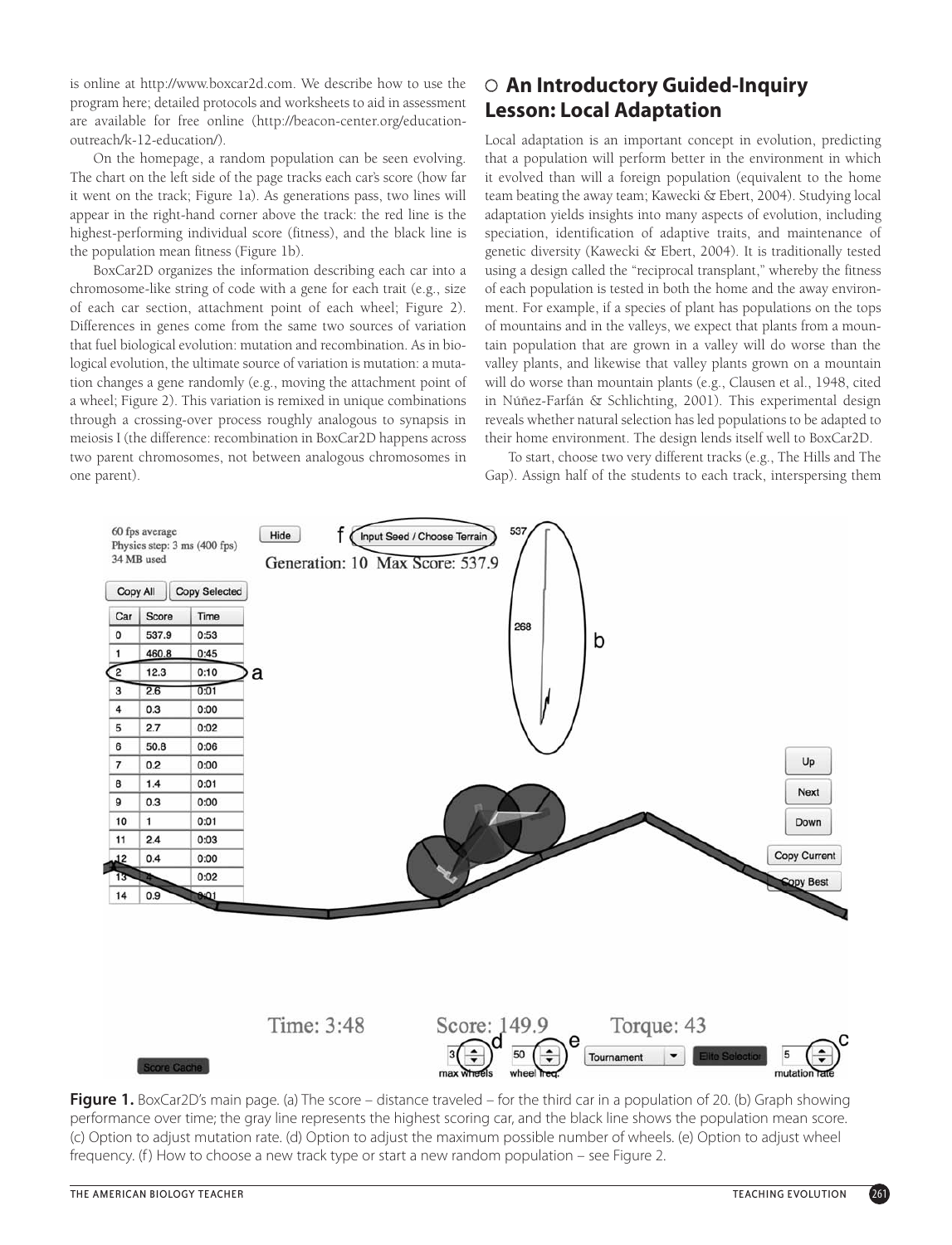is online at http://www.boxcar2d.com. We describe how to use the program here; detailed protocols and worksheets to aid in assessment are available for free online (http://beacon-center.org/educationoutreach/k-12-education/).

On the homepage, a random population can be seen evolving. The chart on the left side of the page tracks each car's score (how far it went on the track; Figure 1a). As generations pass, two lines will appear in the right-hand corner above the track: the red line is the highest-performing individual score (fitness), and the black line is the population mean fitness (Figure 1b).

BoxCar2D organizes the information describing each car into a chromosome-like string of code with a gene for each trait (e.g., size of each car section, attachment point of each wheel; Figure 2). Differences in genes come from the same two sources of variation that fuel biological evolution: mutation and recombination. As in biological evolution, the ultimate source of variation is mutation: a mutation changes a gene randomly (e.g., moving the attachment point of a wheel; Figure 2). This variation is remixed in unique combinations through a crossing-over process roughly analogous to synapsis in meiosis I (the difference: recombination in BoxCar2D happens across two parent chromosomes, not between analogous chromosomes in one parent).

# **An Introductory Guided-Inquiry** J **Lesson: Local Adaptation**

Local adaptation is an important concept in evolution, predicting that a population will perform better in the environment in which it evolved than will a foreign population (equivalent to the home team beating the away team; Kawecki & Ebert, 2004). Studying local adaptation yields insights into many aspects of evolution, including speciation, identification of adaptive traits, and maintenance of genetic diversity (Kawecki & Ebert, 2004). It is traditionally tested using a design called the "reciprocal transplant," whereby the fitness of each population is tested in both the home and the away environment. For example, if a species of plant has populations on the tops of mountains and in the valleys, we expect that plants from a mountain population that are grown in a valley will do worse than the valley plants, and likewise that valley plants grown on a mountain will do worse than mountain plants (e.g., Clausen et al., 1948, cited in Núñez-Farfán & Schlichting, 2001). This experimental design reveals whether natural selection has led populations to be adapted to their home environment. The design lends itself well to BoxCar2D.

To start, choose two very different tracks (e.g., The Hills and The Gap). Assign half of the students to each track, interspersing them



**Figure 1.** BoxCar2D's main page. (a) The score – distance traveled – for the third car in a population of 20. (b) Graph showing performance over time; the gray line represents the highest scoring car, and the black line shows the population mean score. (c) Option to adjust mutation rate. (d) Option to adjust the maximum possible number of wheels. (e) Option to adjust wheel frequency. (f) How to choose a new track type or start a new random population – see Figure 2.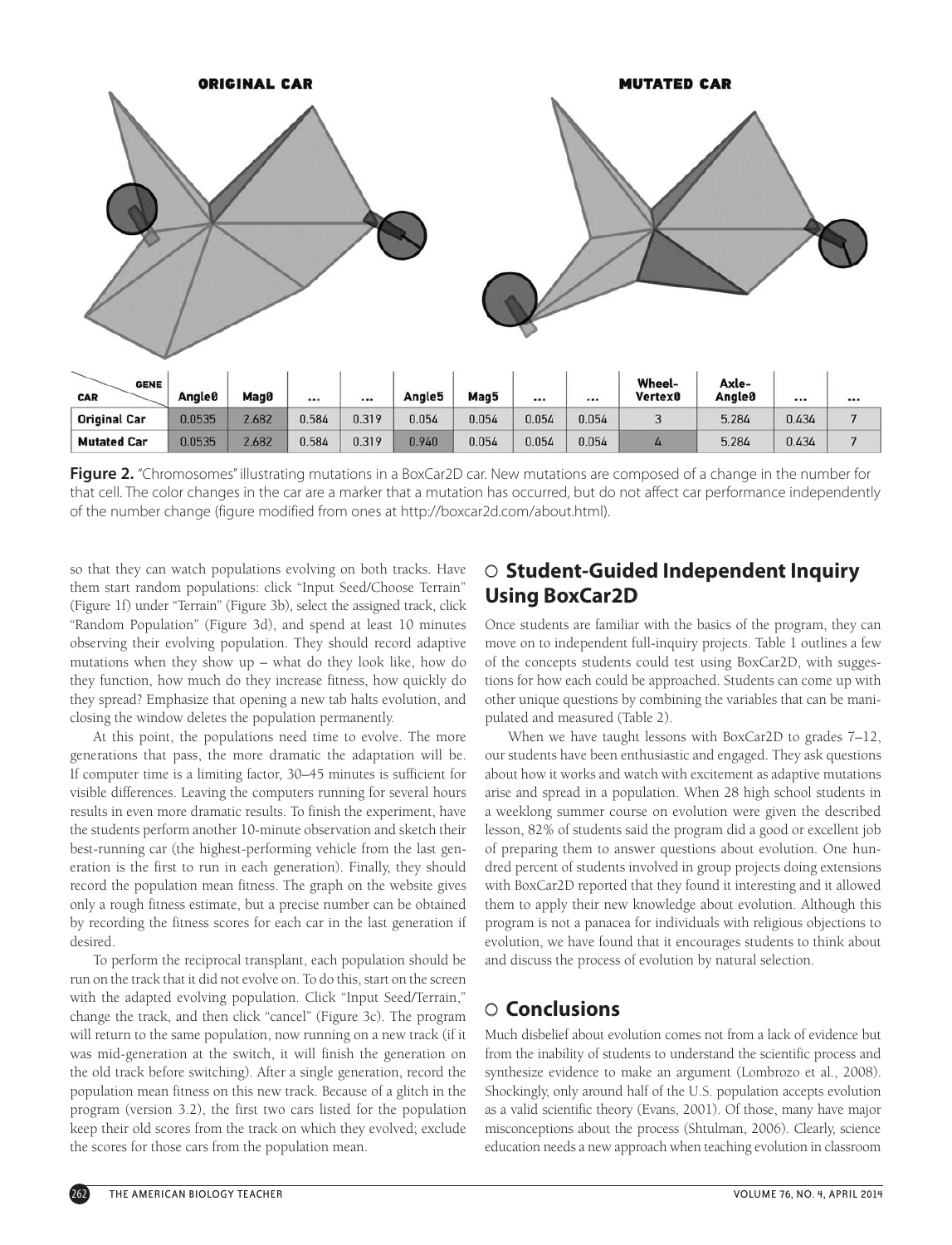

Figure 2. "Chromosomes" illustrating mutations in a BoxCar2D car. New mutations are composed of a change in the number for that cell. The color changes in the car are a marker that a mutation has occurred, but do not affect car performance independently of the number change (figure modified from ones at http://boxcar2d.com/about.html).

so that they can watch populations evolving on both tracks. Have them start random populations: click "Input Seed/Choose Terrain" (Figure 1f) under "Terrain" (Figure 3b), select the assigned track, click "Random Population" (Figure 3d), and spend at least 10 minutes observing their evolving population. They should record adaptive mutations when they show up – what do they look like, how do they function, how much do they increase fitness, how quickly do they spread? Emphasize that opening a new tab halts evolution, and closing the window deletes the population permanently.

At this point, the populations need time to evolve. The more generations that pass, the more dramatic the adaptation will be. If computer time is a limiting factor, 30–45 minutes is sufficient for visible differences. Leaving the computers running for several hours results in even more dramatic results. To finish the experiment, have the students perform another 10-minute observation and sketch their best-running car (the highest-performing vehicle from the last generation is the first to run in each generation). Finally, they should record the population mean fitness. The graph on the website gives only a rough fitness estimate, but a precise number can be obtained by recording the fitness scores for each car in the last generation if desired.

To perform the reciprocal transplant, each population should be run on the track that it did not evolve on. To do this, start on the screen with the adapted evolving population. Click "Input Seed/Terrain," change the track, and then click "cancel" (Figure 3c). The program will return to the same population, now running on a new track (if it was mid-generation at the switch, it will finish the generation on the old track before switching). After a single generation, record the population mean fitness on this new track. Because of a glitch in the program (version 3.2), the first two cars listed for the population keep their old scores from the track on which they evolved; exclude the scores for those cars from the population mean.

# **Student-Guided Independent Inquiry** J **Using BoxCar2D**

Once students are familiar with the basics of the program, they can move on to independent full-inquiry projects. Table 1 outlines a few of the concepts students could test using BoxCar2D, with suggestions for how each could be approached. Students can come up with other unique questions by combining the variables that can be manipulated and measured (Table 2).

When we have taught lessons with BoxCar2D to grades 7–12, our students have been enthusiastic and engaged. They ask questions about how it works and watch with excitement as adaptive mutations arise and spread in a population. When 28 high school students in a weeklong summer course on evolution were given the described lesson, 82% of students said the program did a good or excellent job of preparing them to answer questions about evolution. One hundred percent of students involved in group projects doing extensions with BoxCar2D reported that they found it interesting and it allowed them to apply their new knowledge about evolution. Although this program is not a panacea for individuals with religious objections to evolution, we have found that it encourages students to think about and discuss the process of evolution by natural selection.

# J **Conclusions**

Much disbelief about evolution comes not from a lack of evidence but from the inability of students to understand the scientific process and synthesize evidence to make an argument (Lombrozo et al., 2008). Shockingly, only around half of the U.S. population accepts evolution as a valid scientific theory (Evans, 2001). Of those, many have major misconceptions about the process (Shtulman, 2006). Clearly, science education needs a new approach when teaching evolution in classroom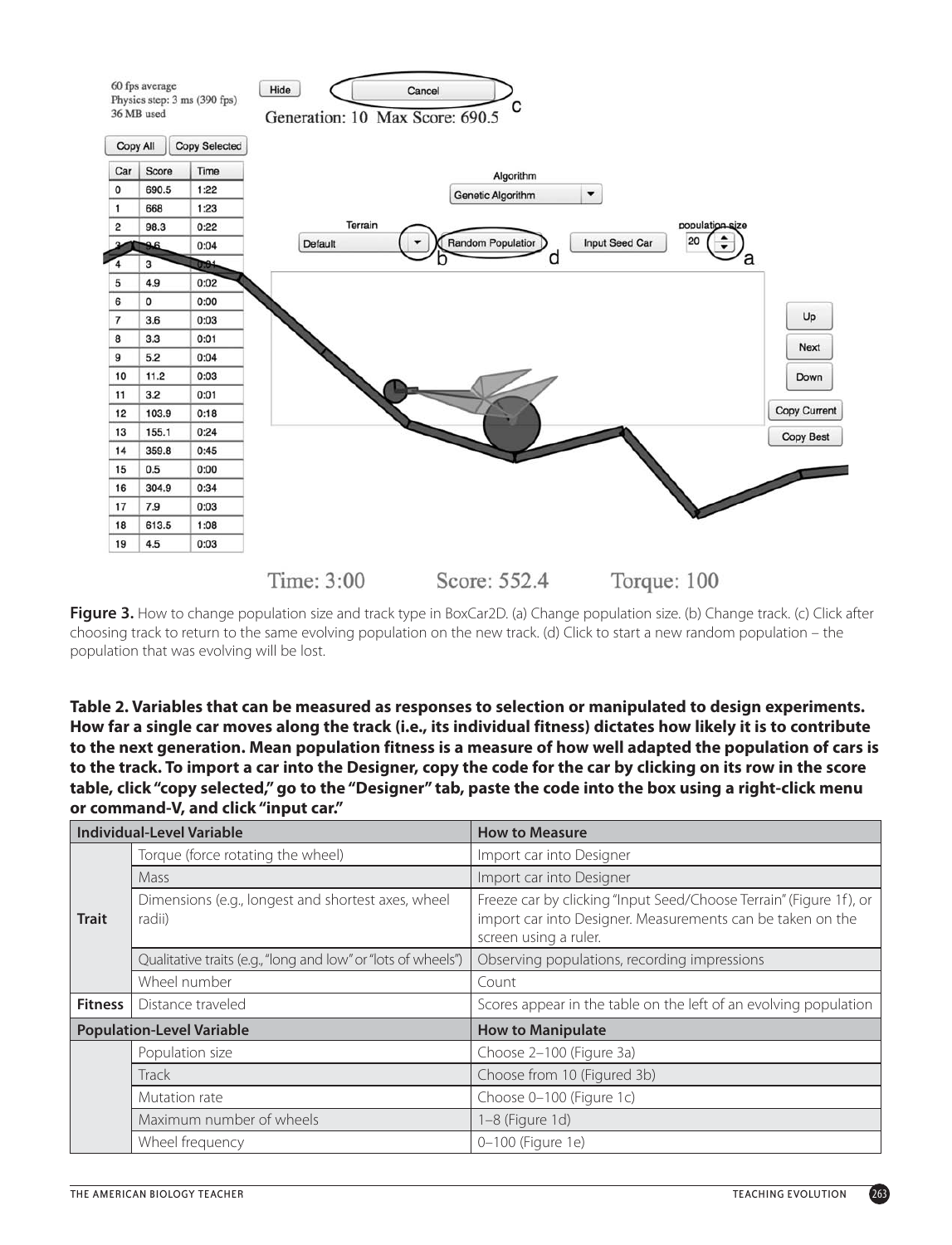

**Figure 3.** How to change population size and track type in BoxCar2D. (a) Change population size. (b) Change track. (c) Click after choosing track to return to the same evolving population on the new track. (d) Click to start a new random population – the population that was evolving will be lost.

**Table 2. Variables that can be measured as responses to selection or manipulated to design experiments. How far a single car moves along the track (i.e., its individual fitness) dictates how likely it is to contribute to the next generation. Mean population fitness is a measure of how well adapted the population of cars is to the track. To import a car into the Designer, copy the code for the car by clicking on its row in the score table, click "copy selected," go to the "Designer" tab, paste the code into the box using a right-click menu or command-V, and click "input car."**

| <b>Individual-Level Variable</b> |                                                               | <b>How to Measure</b>                                                                                                                                     |  |
|----------------------------------|---------------------------------------------------------------|-----------------------------------------------------------------------------------------------------------------------------------------------------------|--|
| <b>Trait</b>                     | Torque (force rotating the wheel)                             | Import car into Designer                                                                                                                                  |  |
|                                  | Mass                                                          | Import car into Designer                                                                                                                                  |  |
|                                  | Dimensions (e.g., longest and shortest axes, wheel<br>radii)  | Freeze car by clicking "Input Seed/Choose Terrain" (Figure 1f), or<br>import car into Designer. Measurements can be taken on the<br>screen using a ruler. |  |
|                                  | Qualitative traits (e.g., "long and low" or "lots of wheels") | Observing populations, recording impressions                                                                                                              |  |
|                                  | Wheel number                                                  | Count                                                                                                                                                     |  |
| <b>Fitness</b>                   | Distance traveled                                             | Scores appear in the table on the left of an evolving population                                                                                          |  |
| <b>Population-Level Variable</b> |                                                               | <b>How to Manipulate</b>                                                                                                                                  |  |
|                                  | Population size                                               | Choose 2-100 (Figure 3a)                                                                                                                                  |  |
|                                  | Track                                                         | Choose from 10 (Figured 3b)                                                                                                                               |  |
|                                  | Mutation rate                                                 | Choose 0-100 (Figure 1c)                                                                                                                                  |  |
|                                  | Maximum number of wheels                                      | 1-8 (Figure 1d)                                                                                                                                           |  |
|                                  | Wheel frequency                                               | 0-100 (Figure 1e)                                                                                                                                         |  |